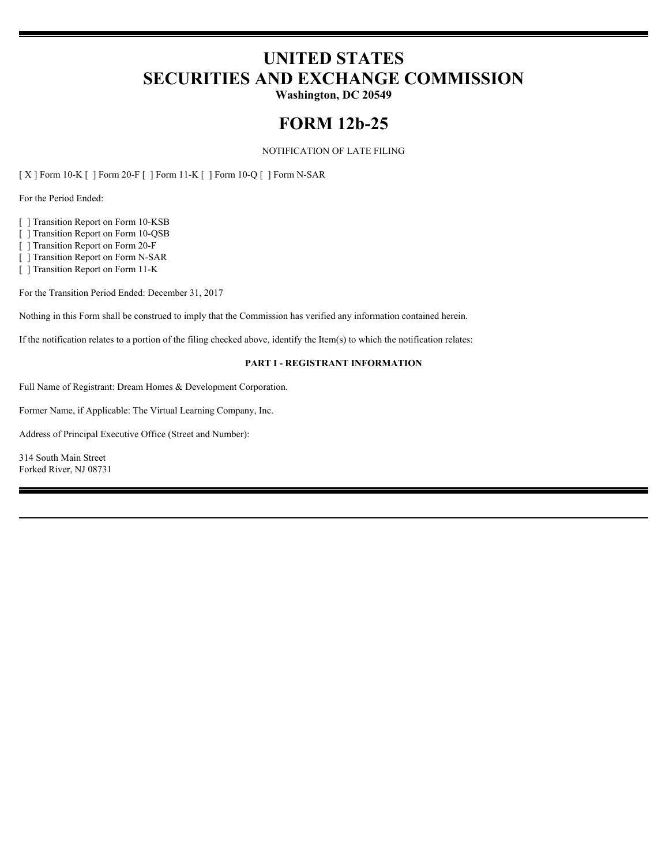# **UNITED STATES SECURITIES AND EXCHANGE COMMISSION**

**Washington, DC 20549**

# **FORM 12b-25**

## NOTIFICATION OF LATE FILING

[ X ] Form 10-K [ ] Form 20-F [ ] Form 11-K [ ] Form 10-Q [ ] Form N-SAR

For the Period Ended:

[ ] Transition Report on Form 10-KSB

[ ] Transition Report on Form 10-QSB

[ ] Transition Report on Form 20-F

[ ] Transition Report on Form N-SAR

[ ] Transition Report on Form 11-K

For the Transition Period Ended: December 31, 2017

Nothing in this Form shall be construed to imply that the Commission has verified any information contained herein.

If the notification relates to a portion of the filing checked above, identify the Item(s) to which the notification relates:

#### **PART I - REGISTRANT INFORMATION**

Full Name of Registrant: Dream Homes & Development Corporation.

Former Name, if Applicable: The Virtual Learning Company, Inc.

Address of Principal Executive Office (Street and Number):

314 South Main Street Forked River, NJ 08731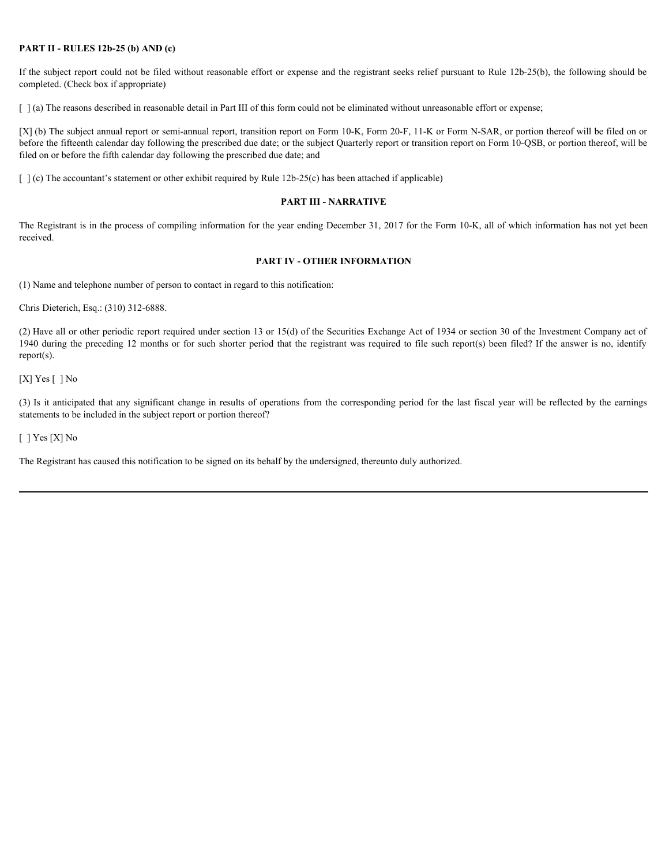#### **PART II - RULES 12b-25 (b) AND (c)**

If the subject report could not be filed without reasonable effort or expense and the registrant seeks relief pursuant to Rule 12b-25(b), the following should be completed. (Check box if appropriate)

[  $\alpha$ ] (a) The reasons described in reasonable detail in Part III of this form could not be eliminated without unreasonable effort or expense;

[X] (b) The subject annual report or semi-annual report, transition report on Form 10-K, Form 20-F, 11-K or Form N-SAR, or portion thereof will be filed on or before the fifteenth calendar day following the prescribed due date; or the subject Quarterly report or transition report on Form 10-QSB, or portion thereof, will be filed on or before the fifth calendar day following the prescribed due date; and **PART II - RULES 120-25 (b) AND (c)**<br>
If the subject report oned a the plate without reasonable effort or expense and the registrant seeks relief parsument to Rule 120-25(b), the following should be<br>
1) Icis ) The results

 $\lceil \cdot \rceil$  (c) The accountant's statement or other exhibit required by Rule 12b-25(c) has been attached if applicable)

#### **PART III - NARRATIVE**

The Registrant is in the process of compiling information for the year ending December 31, 2017 for the Form 10-K, all of which information has not yet been received.

#### **PART IV - OTHER INFORMATION**

(1) Name and telephone number of person to contact in regard to this notification:

Chris Dieterich, Esq.: (310) 312-6888.

(2) Have all or other periodic report required under section 13 or 15(d) of the Securities Exchange Act of 1934 or section 30 of the Investment Company act of 1940 during the preceding 12 months or for such shorter period that the registrant was required to file such report(s) been filed? If the answer is no, identify report(s).

 $[X]$  Yes  $[ ]$  No

statements to be included in the subject report or portion thereof?

[ ] Yes [X] No

The Registrant has caused this notification to be signed on its behalf by the undersigned, thereunto duly authorized.